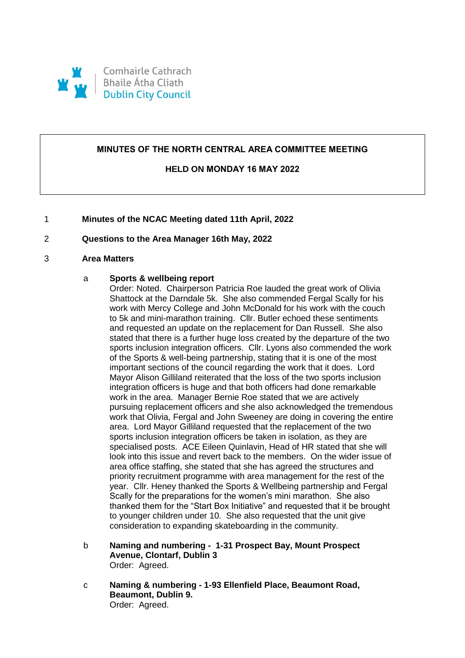

# **MINUTES OF THE NORTH CENTRAL AREA COMMITTEE MEETING**

# **HELD ON MONDAY 16 MAY 2022**

# 1 **Minutes of the NCAC Meeting dated 11th April, 2022**

# 2 **Questions to the Area Manager 16th May, 2022**

#### 3 **Area Matters**

#### a **Sports & wellbeing report**

Order: Noted. Chairperson Patricia Roe lauded the great work of Olivia Shattock at the Darndale 5k. She also commended Fergal Scally for his work with Mercy College and John McDonald for his work with the couch to 5k and mini-marathon training. Cllr. Butler echoed these sentiments and requested an update on the replacement for Dan Russell. She also stated that there is a further huge loss created by the departure of the two sports inclusion integration officers. Cllr. Lyons also commended the work of the Sports & well-being partnership, stating that it is one of the most important sections of the council regarding the work that it does. Lord Mayor Alison Gilliland reiterated that the loss of the two sports inclusion integration officers is huge and that both officers had done remarkable work in the area. Manager Bernie Roe stated that we are actively pursuing replacement officers and she also acknowledged the tremendous work that Olivia, Fergal and John Sweeney are doing in covering the entire area. Lord Mayor Gilliland requested that the replacement of the two sports inclusion integration officers be taken in isolation, as they are specialised posts. ACE Eileen Quinlavin, Head of HR stated that she will look into this issue and revert back to the members. On the wider issue of area office staffing, she stated that she has agreed the structures and priority recruitment programme with area management for the rest of the year. Cllr. Heney thanked the Sports & Wellbeing partnership and Fergal Scally for the preparations for the women's mini marathon. She also thanked them for the "Start Box Initiative" and requested that it be brought to younger children under 10. She also requested that the unit give consideration to expanding skateboarding in the community.

- b **Naming and numbering 1-31 Prospect Bay, Mount Prospect Avenue, Clontarf, Dublin 3** Order: Agreed.
- c **Naming & numbering - 1-93 Ellenfield Place, Beaumont Road, Beaumont, Dublin 9.** Order: Agreed.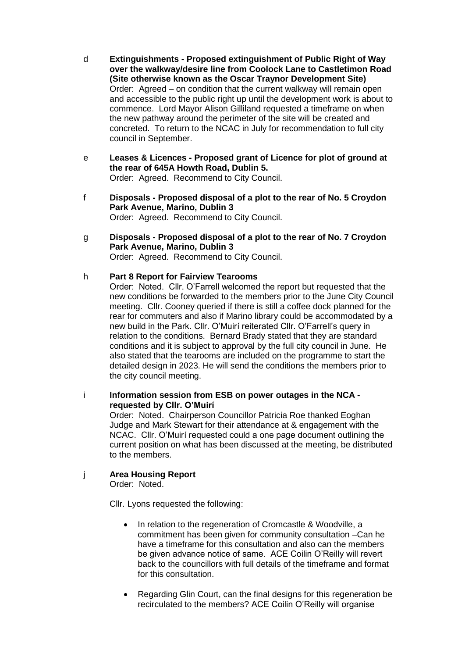- d **Extinguishments - Proposed extinguishment of Public Right of Way over the walkway/desire line from Coolock Lane to Castletimon Road (Site otherwise known as the Oscar Traynor Development Site)** Order: Agreed – on condition that the current walkway will remain open and accessible to the public right up until the development work is about to commence. Lord Mayor Alison Gilliland requested a timeframe on when the new pathway around the perimeter of the site will be created and concreted. To return to the NCAC in July for recommendation to full city council in September.
- e **Leases & Licences - Proposed grant of Licence for plot of ground at the rear of 645A Howth Road, Dublin 5.** Order: Agreed. Recommend to City Council.
- f **Disposals - Proposed disposal of a plot to the rear of No. 5 Croydon Park Avenue, Marino, Dublin 3** Order: Agreed. Recommend to City Council.
- g **Disposals - Proposed disposal of a plot to the rear of No. 7 Croydon Park Avenue, Marino, Dublin 3** Order: Agreed. Recommend to City Council.

# h **Part 8 Report for Fairview Tearooms**

Order: Noted. Cllr. O'Farrell welcomed the report but requested that the new conditions be forwarded to the members prior to the June City Council meeting. Cllr. Cooney queried if there is still a coffee dock planned for the rear for commuters and also if Marino library could be accommodated by a new build in the Park. Cllr. O'Muirí reiterated Cllr. O'Farrell's query in relation to the conditions. Bernard Brady stated that they are standard conditions and it is subject to approval by the full city council in June. He also stated that the tearooms are included on the programme to start the detailed design in 2023. He will send the conditions the members prior to the city council meeting.

i **Information session from ESB on power outages in the NCA requested by Cllr. O'Muirí**

Order: Noted. Chairperson Councillor Patricia Roe thanked Eoghan Judge and Mark Stewart for their attendance at & engagement with the NCAC. Cllr. O'Muirí requested could a one page document outlining the current position on what has been discussed at the meeting, be distributed to the members.

j **Area Housing Report**

Order: Noted.

Cllr. Lyons requested the following:

- In relation to the regeneration of Cromcastle & Woodville, a commitment has been given for community consultation –Can he have a timeframe for this consultation and also can the members be given advance notice of same. ACE Coilin O'Reilly will revert back to the councillors with full details of the timeframe and format for this consultation.
- Regarding Glin Court, can the final designs for this regeneration be recirculated to the members? ACE Coilin O'Reilly will organise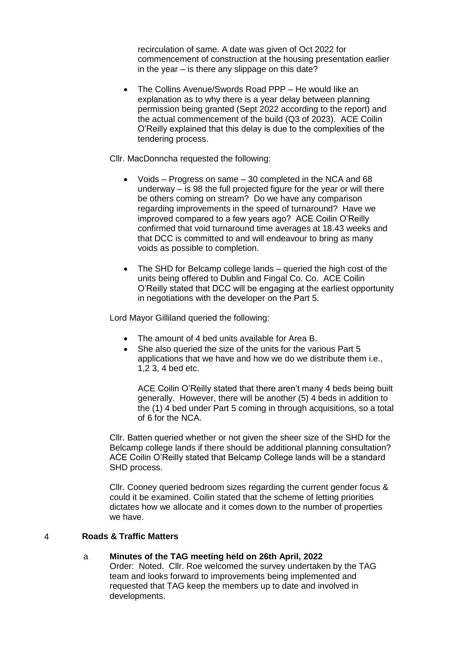recirculation of same. A date was given of Oct 2022 for commencement of construction at the housing presentation earlier in the year – is there any slippage on this date?

 The Collins Avenue/Swords Road PPP – He would like an explanation as to why there is a year delay between planning permission being granted (Sept 2022 according to the report) and the actual commencement of the build (Q3 of 2023). ACE Coilin O'Reilly explained that this delay is due to the complexities of the tendering process.

Cllr. MacDonncha requested the following:

- Voids Progress on same 30 completed in the NCA and 68 underway – is 98 the full projected figure for the year or will there be others coming on stream? Do we have any comparison regarding improvements in the speed of turnaround? Have we improved compared to a few years ago? ACE Coilin O'Reilly confirmed that void turnaround time averages at 18.43 weeks and that DCC is committed to and will endeavour to bring as many voids as possible to completion.
- The SHD for Belcamp college lands queried the high cost of the units being offered to Dublin and Fingal Co. Co. ACE Coilin O'Reilly stated that DCC will be engaging at the earliest opportunity in negotiations with the developer on the Part 5.

Lord Mayor Gilliland queried the following:

- The amount of 4 bed units available for Area B.
- She also queried the size of the units for the various Part 5 applications that we have and how we do we distribute them i.e., 1,2 3, 4 bed etc.

ACE Coilin O'Reilly stated that there aren't many 4 beds being built generally. However, there will be another (5) 4 beds in addition to the (1) 4 bed under Part 5 coming in through acquisitions, so a total of 6 for the NCA.

Cllr. Batten queried whether or not given the sheer size of the SHD for the Belcamp college lands if there should be additional planning consultation? ACE Coilin O'Reilly stated that Belcamp College lands will be a standard SHD process.

Cllr. Cooney queried bedroom sizes regarding the current gender focus & could it be examined. Coilin stated that the scheme of letting priorities dictates how we allocate and it comes down to the number of properties we have.

# 4 **Roads & Traffic Matters**

- a **Minutes of the TAG meeting held on 26th April, 2022**
	- Order: Noted. Cllr. Roe welcomed the survey undertaken by the TAG team and looks forward to improvements being implemented and requested that TAG keep the members up to date and involved in developments.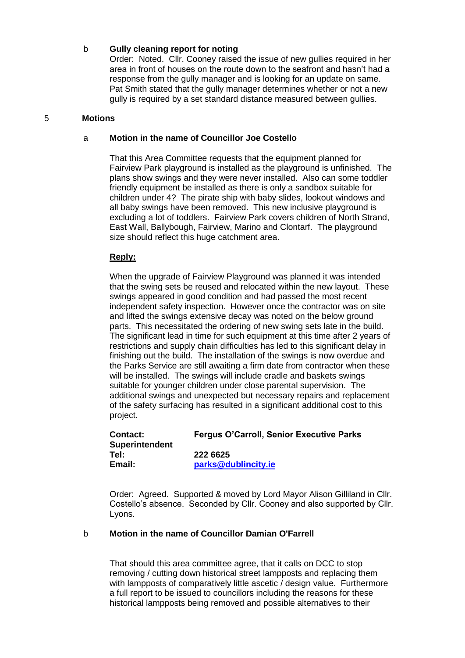#### b **Gully cleaning report for noting**

Order: Noted. Cllr. Cooney raised the issue of new gullies required in her area in front of houses on the route down to the seafront and hasn't had a response from the gully manager and is looking for an update on same. Pat Smith stated that the gully manager determines whether or not a new gully is required by a set standard distance measured between gullies.

#### 5 **Motions**

#### a **Motion in the name of Councillor Joe Costello**

That this Area Committee requests that the equipment planned for Fairview Park playground is installed as the playground is unfinished. The plans show swings and they were never installed. Also can some toddler friendly equipment be installed as there is only a sandbox suitable for children under 4? The pirate ship with baby slides, lookout windows and all baby swings have been removed. This new inclusive playground is excluding a lot of toddlers. Fairview Park covers children of North Strand, East Wall, Ballybough, Fairview, Marino and Clontarf. The playground size should reflect this huge catchment area.

#### **Reply:**

When the upgrade of Fairview Playground was planned it was intended that the swing sets be reused and relocated within the new layout. These swings appeared in good condition and had passed the most recent independent safety inspection. However once the contractor was on site and lifted the swings extensive decay was noted on the below ground parts. This necessitated the ordering of new swing sets late in the build. The significant lead in time for such equipment at this time after 2 years of restrictions and supply chain difficulties has led to this significant delay in finishing out the build. The installation of the swings is now overdue and the Parks Service are still awaiting a firm date from contractor when these will be installed. The swings will include cradle and baskets swings suitable for younger children under close parental supervision. The additional swings and unexpected but necessary repairs and replacement of the safety surfacing has resulted in a significant additional cost to this project.

| Contact:<br><b>Superintendent</b> | <b>Fergus O'Carroll, Senior Executive Parks</b> |
|-----------------------------------|-------------------------------------------------|
| Tel:                              | 222 6625                                        |
| Email:                            | parks@dublincity.ie                             |

Order: Agreed. Supported & moved by Lord Mayor Alison Gilliland in Cllr. Costello's absence. Seconded by Cllr. Cooney and also supported by Cllr. Lyons.

# b **Motion in the name of Councillor Damian O'Farrell**

That should this area committee agree, that it calls on DCC to stop removing / cutting down historical street lampposts and replacing them with lampposts of comparatively little ascetic / design value. Furthermore a full report to be issued to councillors including the reasons for these historical lampposts being removed and possible alternatives to their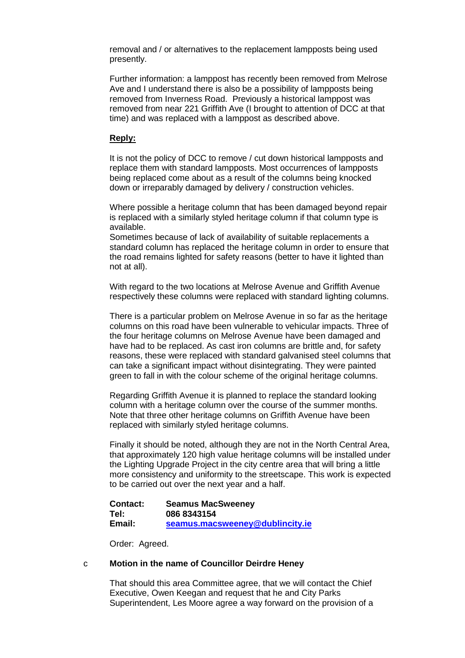removal and / or alternatives to the replacement lampposts being used presently.

Further information: a lamppost has recently been removed from Melrose Ave and I understand there is also be a possibility of lampposts being removed from Inverness Road. Previously a historical lamppost was removed from near 221 Griffith Ave (I brought to attention of DCC at that time) and was replaced with a lamppost as described above.

#### **Reply:**

It is not the policy of DCC to remove / cut down historical lampposts and replace them with standard lampposts. Most occurrences of lampposts being replaced come about as a result of the columns being knocked down or irreparably damaged by delivery / construction vehicles.

Where possible a heritage column that has been damaged beyond repair is replaced with a similarly styled heritage column if that column type is available.

Sometimes because of lack of availability of suitable replacements a standard column has replaced the heritage column in order to ensure that the road remains lighted for safety reasons (better to have it lighted than not at all).

With regard to the two locations at Melrose Avenue and Griffith Avenue respectively these columns were replaced with standard lighting columns.

There is a particular problem on Melrose Avenue in so far as the heritage columns on this road have been vulnerable to vehicular impacts. Three of the four heritage columns on Melrose Avenue have been damaged and have had to be replaced. As cast iron columns are brittle and, for safety reasons, these were replaced with standard galvanised steel columns that can take a significant impact without disintegrating. They were painted green to fall in with the colour scheme of the original heritage columns.

Regarding Griffith Avenue it is planned to replace the standard looking column with a heritage column over the course of the summer months. Note that three other heritage columns on Griffith Avenue have been replaced with similarly styled heritage columns.

Finally it should be noted, although they are not in the North Central Area, that approximately 120 high value heritage columns will be installed under the Lighting Upgrade Project in the city centre area that will bring a little more consistency and uniformity to the streetscape. This work is expected to be carried out over the next year and a half.

**Contact: Seamus MacSweeney Tel: 086 8343154 Email: [seamus.macsweeney@dublincity.ie](mailto:seamus.macsweeney@dublincity.ie)**

Order: Agreed.

#### c **Motion in the name of Councillor Deirdre Heney**

That should this area Committee agree, that we will contact the Chief Executive, Owen Keegan and request that he and City Parks Superintendent, Les Moore agree a way forward on the provision of a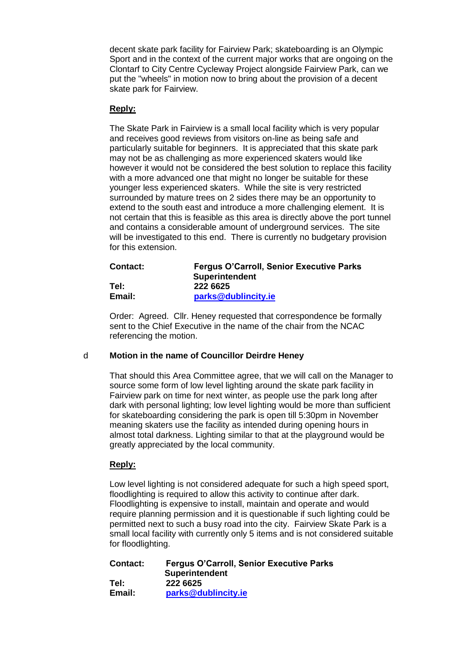decent skate park facility for Fairview Park; skateboarding is an Olympic Sport and in the context of the current major works that are ongoing on the Clontarf to City Centre Cycleway Project alongside Fairview Park, can we put the "wheels" in motion now to bring about the provision of a decent skate park for Fairview.

# **Reply:**

The Skate Park in Fairview is a small local facility which is very popular and receives good reviews from visitors on-line as being safe and particularly suitable for beginners. It is appreciated that this skate park may not be as challenging as more experienced skaters would like however it would not be considered the best solution to replace this facility with a more advanced one that might no longer be suitable for these younger less experienced skaters. While the site is very restricted surrounded by mature trees on 2 sides there may be an opportunity to extend to the south east and introduce a more challenging element. It is not certain that this is feasible as this area is directly above the port tunnel and contains a considerable amount of underground services. The site will be investigated to this end. There is currently no budgetary provision for this extension.

| Contact: | <b>Fergus O'Carroll, Senior Executive Parks</b> |
|----------|-------------------------------------------------|
|          | <b>Superintendent</b>                           |
| Tel:     | 222 6625                                        |
| Email:   | parks@dublincity.ie                             |

Order: Agreed. Cllr. Heney requested that correspondence be formally sent to the Chief Executive in the name of the chair from the NCAC referencing the motion.

# d **Motion in the name of Councillor Deirdre Heney**

That should this Area Committee agree, that we will call on the Manager to source some form of low level lighting around the skate park facility in Fairview park on time for next winter, as people use the park long after dark with personal lighting; low level lighting would be more than sufficient for skateboarding considering the park is open till 5:30pm in November meaning skaters use the facility as intended during opening hours in almost total darkness. Lighting similar to that at the playground would be greatly appreciated by the local community.

# **Reply:**

Low level lighting is not considered adequate for such a high speed sport, floodlighting is required to allow this activity to continue after dark. Floodlighting is expensive to install, maintain and operate and would require planning permission and it is questionable if such lighting could be permitted next to such a busy road into the city. Fairview Skate Park is a small local facility with currently only 5 items and is not considered suitable for floodlighting.

| Contact: | <b>Fergus O'Carroll, Senior Executive Parks</b> |
|----------|-------------------------------------------------|
|          | <b>Superintendent</b>                           |
| Tel:     | 222 6625                                        |
| Email:   | parks@dublincity.ie                             |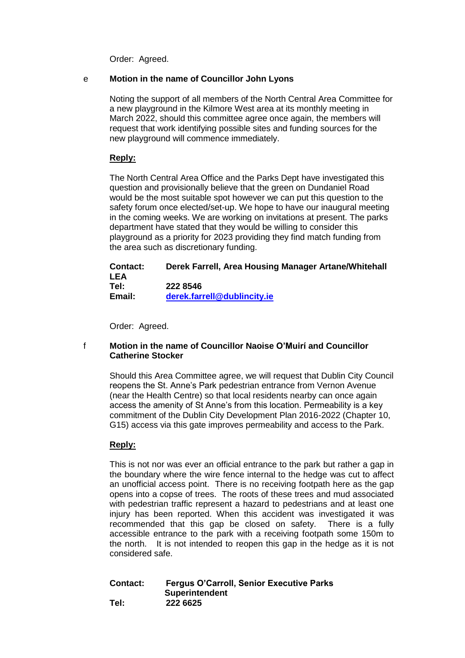Order: Agreed.

# e **Motion in the name of Councillor John Lyons**

Noting the support of all members of the North Central Area Committee for a new playground in the Kilmore West area at its monthly meeting in March 2022, should this committee agree once again, the members will request that work identifying possible sites and funding sources for the new playground will commence immediately.

# **Reply:**

The North Central Area Office and the Parks Dept have investigated this question and provisionally believe that the green on Dundaniel Road would be the most suitable spot however we can put this question to the safety forum once elected/set-up. We hope to have our inaugural meeting in the coming weeks. We are working on invitations at present. The parks department have stated that they would be willing to consider this playground as a priority for 2023 providing they find match funding from the area such as discretionary funding.

# **Contact: Derek Farrell, Area Housing Manager Artane/Whitehall LEA Tel: 222 8546 Email: [derek.farrell@dublincity.ie](mailto:derek.farrell@dublincity.ie)**

Order: Agreed.

# f **Motion in the name of Councillor Naoise O'Muirí and Councillor Catherine Stocker**

Should this Area Committee agree, we will request that Dublin City Council reopens the St. Anne's Park pedestrian entrance from Vernon Avenue (near the Health Centre) so that local residents nearby can once again access the amenity of St Anne's from this location. Permeability is a key commitment of the Dublin City Development Plan 2016-2022 (Chapter 10, G15) access via this gate improves permeability and access to the Park.

# **Reply:**

This is not nor was ever an official entrance to the park but rather a gap in the boundary where the wire fence internal to the hedge was cut to affect an unofficial access point. There is no receiving footpath here as the gap opens into a copse of trees. The roots of these trees and mud associated with pedestrian traffic represent a hazard to pedestrians and at least one injury has been reported. When this accident was investigated it was recommended that this gap be closed on safety. There is a fully accessible entrance to the park with a receiving footpath some 150m to the north. It is not intended to reopen this gap in the hedge as it is not considered safe.

#### **Contact: Fergus O'Carroll, Senior Executive Parks Superintendent Tel: 222 6625**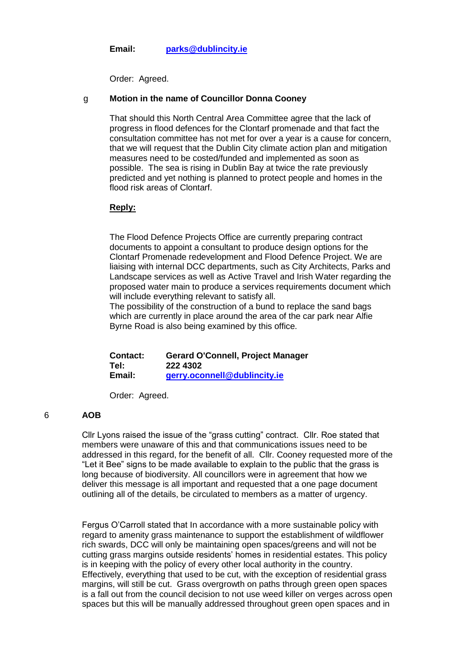**Email: [parks@dublincity.ie](mailto:parks@dublincity.ie)**

Order: Agreed.

#### g **Motion in the name of Councillor Donna Cooney**

That should this North Central Area Committee agree that the lack of progress in flood defences for the Clontarf promenade and that fact the consultation committee has not met for over a year is a cause for concern, that we will request that the Dublin City climate action plan and mitigation measures need to be costed/funded and implemented as soon as possible. The sea is rising in Dublin Bay at twice the rate previously predicted and yet nothing is planned to protect people and homes in the flood risk areas of Clontarf.

#### **Reply:**

The Flood Defence Projects Office are currently preparing contract documents to appoint a consultant to produce design options for the Clontarf Promenade redevelopment and Flood Defence Project. We are liaising with internal DCC departments, such as City Architects, Parks and Landscape services as well as Active Travel and Irish Water regarding the proposed water main to produce a services requirements document which will include everything relevant to satisfy all.

The possibility of the construction of a bund to replace the sand bags which are currently in place around the area of the car park near Alfie Byrne Road is also being examined by this office.

**Contact: Gerard O'Connell, Project Manager Tel: 222 4302 Email: [gerry.oconnell@dublincity.ie](mailto:gerry.oconnell@dublincity.ie)**

Order: Agreed.

# 6 **AOB**

Cllr Lyons raised the issue of the "grass cutting" contract. Cllr. Roe stated that members were unaware of this and that communications issues need to be addressed in this regard, for the benefit of all. Cllr. Cooney requested more of the "Let it Bee" signs to be made available to explain to the public that the grass is long because of biodiversity. All councillors were in agreement that how we deliver this message is all important and requested that a one page document outlining all of the details, be circulated to members as a matter of urgency.

Fergus O'Carroll stated that In accordance with a more sustainable policy with regard to amenity grass maintenance to support the establishment of wildflower rich swards, DCC will only be maintaining open spaces/greens and will not be cutting grass margins outside residents' homes in residential estates. This policy is in keeping with the policy of every other local authority in the country. Effectively, everything that used to be cut, with the exception of residential grass margins, will still be cut. Grass overgrowth on paths through green open spaces is a fall out from the council decision to not use weed killer on verges across open spaces but this will be manually addressed throughout green open spaces and in